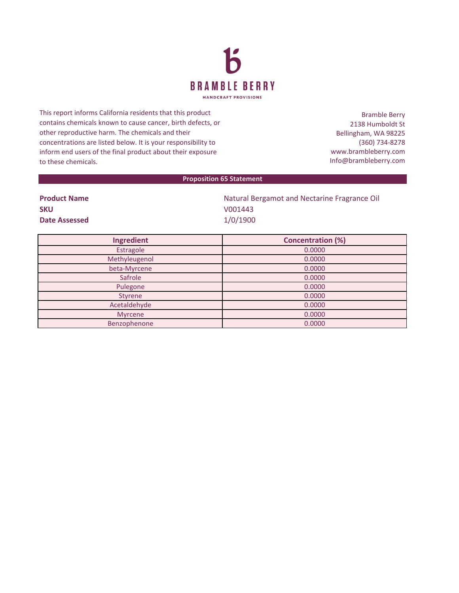

This report informs California residents that this product contains chemicals known to cause cancer, birth defects, or other reproductive harm. The chemicals and their concentrations are listed below. It is your responsibility to inform end users of the final product about their exposure to these chemicals.

Bramble Berry 2138 Humboldt St Bellingham, WA 98225 (360) 734-8278 www.brambleberry.com Info@brambleberry.com

## **Proposition 65 Statement**

| <b>Product Name</b>  | Natural Bergamot and Nectarine Fragrance Oil |
|----------------------|----------------------------------------------|
| <b>SKU</b>           | V001443                                      |
| <b>Date Assessed</b> | 1/0/1900                                     |

| Ingredient    | <b>Concentration (%)</b> |
|---------------|--------------------------|
| Estragole     | 0.0000                   |
| Methyleugenol | 0.0000                   |
| beta-Myrcene  | 0.0000                   |
| Safrole       | 0.0000                   |
| Pulegone      | 0.0000                   |
| Styrene       | 0.0000                   |
| Acetaldehyde  | 0.0000                   |
| Myrcene       | 0.0000                   |
| Benzophenone  | 0.0000                   |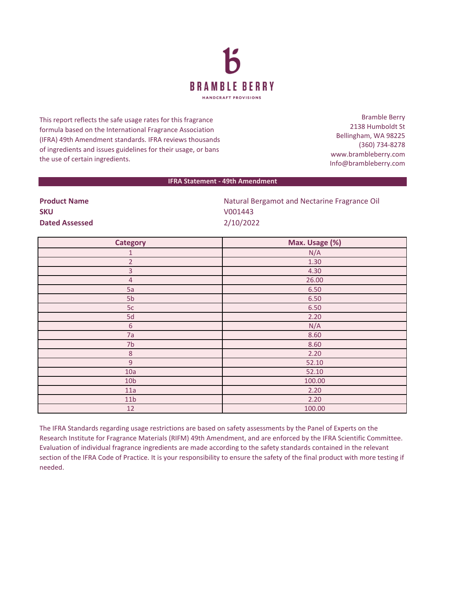

This report reflects the safe usage rates for this fragrance formula based on the International Fragrance Association (IFRA) 49th Amendment standards. IFRA reviews thousands of ingredients and issues guidelines for their usage, or bans the use of certain ingredients.

Bramble Berry 2138 Humboldt St Bellingham, WA 98225 (360) 734-8278 www.brambleberry.com Info@brambleberry.com

## **IFRA Statement - 49th Amendment**

| <b>Product Name</b>   | Natural Bergamot and Nectarine Fragrance Oil |
|-----------------------|----------------------------------------------|
| <b>SKU</b>            | V001443                                      |
| <b>Dated Assessed</b> | 2/10/2022                                    |

| Category         | Max. Usage (%) |
|------------------|----------------|
| $\mathbf{1}$     | N/A            |
| $\overline{2}$   | 1.30           |
| 3                | 4.30           |
| $\overline{4}$   | 26.00          |
| 5a               | 6.50           |
| 5b               | 6.50           |
| 5c               | 6.50           |
| 5d               | 2.20           |
| $\sqrt{6}$       | N/A            |
| 7a               | 8.60           |
| 7 <sub>b</sub>   | 8.60           |
| $\bf 8$          | 2.20           |
| $\boldsymbol{9}$ | 52.10          |
| 10a              | 52.10          |
| 10 <sub>b</sub>  | 100.00         |
| 11a              | 2.20           |
| 11 <sub>b</sub>  | 2.20           |
| $12\,$           | 100.00         |

The IFRA Standards regarding usage restrictions are based on safety assessments by the Panel of Experts on the Research Institute for Fragrance Materials (RIFM) 49th Amendment, and are enforced by the IFRA Scientific Committee. Evaluation of individual fragrance ingredients are made according to the safety standards contained in the relevant section of the IFRA Code of Practice. It is your responsibility to ensure the safety of the final product with more testing if needed.